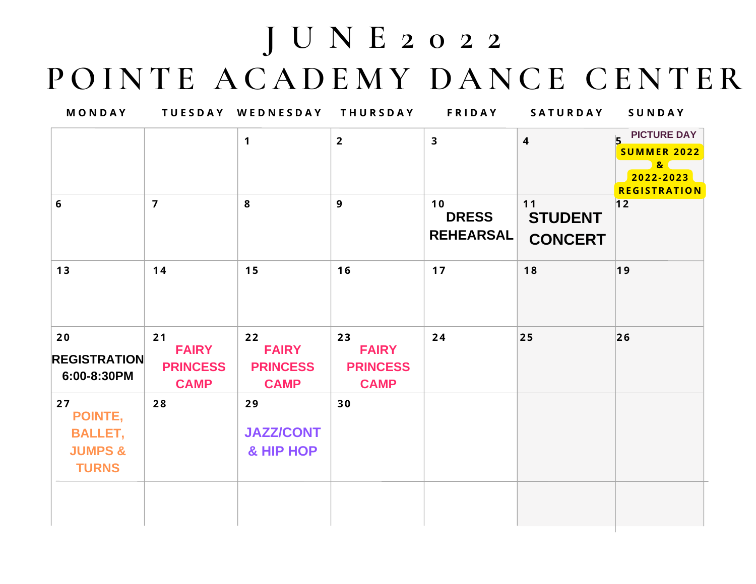## **J U N E 2 0 2 2 P O I N T E A C A D E M Y D A N CE CE N T ER**

| MONDAY                                                                |                                                      | TUESDAY WEDNESDAY THURSDAY                           |                                                      | <b>FRIDAY</b>                          | SATURDAY                                 | SUNDAY                                                                                               |
|-----------------------------------------------------------------------|------------------------------------------------------|------------------------------------------------------|------------------------------------------------------|----------------------------------------|------------------------------------------|------------------------------------------------------------------------------------------------------|
|                                                                       |                                                      | $\mathbf{1}$                                         | $2^{\circ}$                                          | $\overline{\mathbf{3}}$                | $\overline{\mathbf{4}}$                  | <b>PICTURE DAY</b><br>I5<br><b>SUMMER 2022</b><br>8 <sup>2</sup><br>2022-2023<br><b>REGISTRATION</b> |
| 6                                                                     | $\overline{7}$                                       | 8                                                    | $\overline{9}$                                       | 10<br><b>DRESS</b><br><b>REHEARSAL</b> | $11$<br><b>STUDENT</b><br><b>CONCERT</b> | 12                                                                                                   |
| 13                                                                    | 14                                                   | 15                                                   | 16                                                   | 17                                     | 18                                       | 19                                                                                                   |
| 20<br><b>REGISTRATION</b><br>6:00-8:30PM                              | 21<br><b>FAIRY</b><br><b>PRINCESS</b><br><b>CAMP</b> | 22<br><b>FAIRY</b><br><b>PRINCESS</b><br><b>CAMP</b> | 23<br><b>FAIRY</b><br><b>PRINCESS</b><br><b>CAMP</b> | 24                                     | 25                                       | $ 26\rangle$                                                                                         |
| 27<br>POINTE,<br><b>BALLET,</b><br><b>JUMPS &amp;</b><br><b>TURNS</b> | 28                                                   | 29<br><b>JAZZ/CONT</b><br>& HIP HOP                  | 30                                                   |                                        |                                          |                                                                                                      |
|                                                                       |                                                      |                                                      |                                                      |                                        |                                          |                                                                                                      |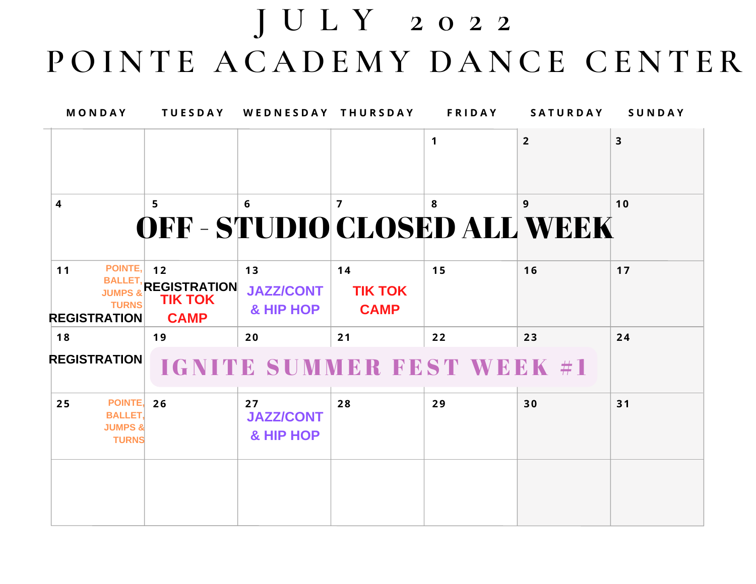## **J U L Y 2 0 2 2 P O I N T E A C A D E M Y D A N CE CE N T ER**

| MONDAY                                          | <b>TUESDAY</b>                                                                        | WEDNESDAY THURSDAY                      |                                     | <b>FRIDAY</b> | <b>SATURDAY</b> | SUNDAY                  |
|-------------------------------------------------|---------------------------------------------------------------------------------------|-----------------------------------------|-------------------------------------|---------------|-----------------|-------------------------|
|                                                 |                                                                                       |                                         |                                     | 1             | $\overline{2}$  | $\overline{\mathbf{3}}$ |
| 4                                               | $5\phantom{.0}$<br>OFF - STUDIO CLOSED ALL WEEK                                       | 6                                       | $\overline{7}$                      | 8             | 9               | 10                      |
| 11<br><b>JUMPS &amp;</b><br><b>REGISTRATION</b> | POINTE, $12$<br>BALLET, REGISTRATION<br><b>TIK TOK</b><br><b>TURNS</b><br><b>CAMP</b> | 13<br><b>JAZZ/CONT</b><br>& HIP HOP     | 14<br><b>TIK TOK</b><br><b>CAMP</b> | 15            | 16              | 17                      |
| 18<br><b>REGISTRATION</b>                       | 19                                                                                    | 20<br><b>IGNITE SUMMER FEST WEEK #1</b> | 21                                  | 22            | 23              | 24                      |
| 25<br><b>BALLET,</b><br><b>JUMPS &amp;</b>      | POINTE, 26<br><b>TURNS</b>                                                            | 27<br><b>JAZZ/CONT</b><br>& HIP HOP     | 28                                  | 29            | 30              | 31                      |
|                                                 |                                                                                       |                                         |                                     |               |                 |                         |